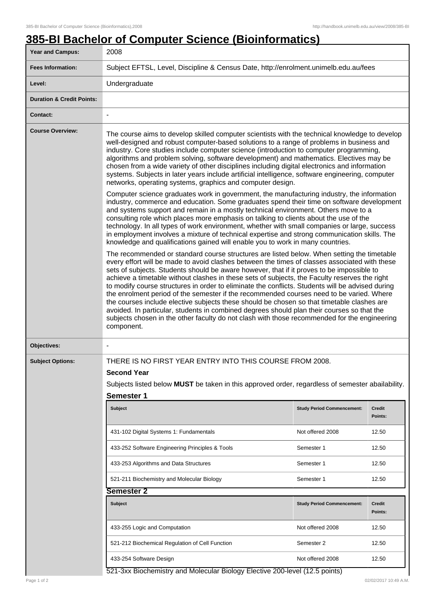## **385-BI Bachelor of Computer Science (Bioinformatics)**

| Year and Campus:                                                            | 2008                                                                                                                                                                                                                                                                                                                                                                                                                                                                                                                                                                                                                                                                                                                                                                                                                                                                                                                                                                                                                                                                                                                                                                                                                                                                                                                                                                                                                                                                                                                                                                                                                                                                                                                                                                                                                                                                                                                                                                                                                                                                                                                                                                                                                  |                                   |                          |  |
|-----------------------------------------------------------------------------|-----------------------------------------------------------------------------------------------------------------------------------------------------------------------------------------------------------------------------------------------------------------------------------------------------------------------------------------------------------------------------------------------------------------------------------------------------------------------------------------------------------------------------------------------------------------------------------------------------------------------------------------------------------------------------------------------------------------------------------------------------------------------------------------------------------------------------------------------------------------------------------------------------------------------------------------------------------------------------------------------------------------------------------------------------------------------------------------------------------------------------------------------------------------------------------------------------------------------------------------------------------------------------------------------------------------------------------------------------------------------------------------------------------------------------------------------------------------------------------------------------------------------------------------------------------------------------------------------------------------------------------------------------------------------------------------------------------------------------------------------------------------------------------------------------------------------------------------------------------------------------------------------------------------------------------------------------------------------------------------------------------------------------------------------------------------------------------------------------------------------------------------------------------------------------------------------------------------------|-----------------------------------|--------------------------|--|
| <b>Fees Information:</b>                                                    | Subject EFTSL, Level, Discipline & Census Date, http://enrolment.unimelb.edu.au/fees                                                                                                                                                                                                                                                                                                                                                                                                                                                                                                                                                                                                                                                                                                                                                                                                                                                                                                                                                                                                                                                                                                                                                                                                                                                                                                                                                                                                                                                                                                                                                                                                                                                                                                                                                                                                                                                                                                                                                                                                                                                                                                                                  |                                   |                          |  |
| Level:                                                                      | Undergraduate                                                                                                                                                                                                                                                                                                                                                                                                                                                                                                                                                                                                                                                                                                                                                                                                                                                                                                                                                                                                                                                                                                                                                                                                                                                                                                                                                                                                                                                                                                                                                                                                                                                                                                                                                                                                                                                                                                                                                                                                                                                                                                                                                                                                         |                                   |                          |  |
| <b>Duration &amp; Credit Points:</b>                                        |                                                                                                                                                                                                                                                                                                                                                                                                                                                                                                                                                                                                                                                                                                                                                                                                                                                                                                                                                                                                                                                                                                                                                                                                                                                                                                                                                                                                                                                                                                                                                                                                                                                                                                                                                                                                                                                                                                                                                                                                                                                                                                                                                                                                                       |                                   |                          |  |
| <b>Contact:</b>                                                             | $\blacksquare$                                                                                                                                                                                                                                                                                                                                                                                                                                                                                                                                                                                                                                                                                                                                                                                                                                                                                                                                                                                                                                                                                                                                                                                                                                                                                                                                                                                                                                                                                                                                                                                                                                                                                                                                                                                                                                                                                                                                                                                                                                                                                                                                                                                                        |                                   |                          |  |
| <b>Course Overview:</b>                                                     | The course aims to develop skilled computer scientists with the technical knowledge to develop<br>well-designed and robust computer-based solutions to a range of problems in business and<br>industry. Core studies include computer science (introduction to computer programming,<br>algorithms and problem solving, software development) and mathematics. Electives may be<br>chosen from a wide variety of other disciplines including digital electronics and information<br>systems. Subjects in later years include artificial intelligence, software engineering, computer<br>networks, operating systems, graphics and computer design.<br>Computer science graduates work in government, the manufacturing industry, the information<br>industry, commerce and education. Some graduates spend their time on software development<br>and systems support and remain in a mostly technical environment. Others move to a<br>consulting role which places more emphasis on talking to clients about the use of the<br>technology. In all types of work environment, whether with small companies or large, success<br>in employment involves a mixture of technical expertise and strong communication skills. The<br>knowledge and qualifications gained will enable you to work in many countries.<br>The recommended or standard course structures are listed below. When setting the timetable<br>every effort will be made to avoid clashes between the times of classes associated with these<br>sets of subjects. Students should be aware however, that if it proves to be impossible to<br>achieve a timetable without clashes in these sets of subjects, the Faculty reserves the right<br>to modify course structures in order to eliminate the conflicts. Students will be advised during<br>the enrolment period of the semester if the recommended courses need to be varied. Where<br>the courses include elective subjects these should be chosen so that timetable clashes are<br>avoided. In particular, students in combined degrees should plan their courses so that the<br>subjects chosen in the other faculty do not clash with those recommended for the engineering<br>component. |                                   |                          |  |
| Objectives:                                                                 | $\overline{\phantom{a}}$                                                                                                                                                                                                                                                                                                                                                                                                                                                                                                                                                                                                                                                                                                                                                                                                                                                                                                                                                                                                                                                                                                                                                                                                                                                                                                                                                                                                                                                                                                                                                                                                                                                                                                                                                                                                                                                                                                                                                                                                                                                                                                                                                                                              |                                   |                          |  |
| <b>Subject Options:</b>                                                     | THERE IS NO FIRST YEAR ENTRY INTO THIS COURSE FROM 2008.<br><b>Second Year</b><br>Subjects listed below MUST be taken in this approved order, regardless of semester abailability.<br><b>Semester 1</b>                                                                                                                                                                                                                                                                                                                                                                                                                                                                                                                                                                                                                                                                                                                                                                                                                                                                                                                                                                                                                                                                                                                                                                                                                                                                                                                                                                                                                                                                                                                                                                                                                                                                                                                                                                                                                                                                                                                                                                                                               |                                   |                          |  |
|                                                                             | Subject                                                                                                                                                                                                                                                                                                                                                                                                                                                                                                                                                                                                                                                                                                                                                                                                                                                                                                                                                                                                                                                                                                                                                                                                                                                                                                                                                                                                                                                                                                                                                                                                                                                                                                                                                                                                                                                                                                                                                                                                                                                                                                                                                                                                               | <b>Study Period Commencement:</b> | Credit<br>Points:        |  |
|                                                                             | 431-102 Digital Systems 1: Fundamentals                                                                                                                                                                                                                                                                                                                                                                                                                                                                                                                                                                                                                                                                                                                                                                                                                                                                                                                                                                                                                                                                                                                                                                                                                                                                                                                                                                                                                                                                                                                                                                                                                                                                                                                                                                                                                                                                                                                                                                                                                                                                                                                                                                               | Not offered 2008                  | 12.50                    |  |
|                                                                             | 433-252 Software Engineering Principles & Tools                                                                                                                                                                                                                                                                                                                                                                                                                                                                                                                                                                                                                                                                                                                                                                                                                                                                                                                                                                                                                                                                                                                                                                                                                                                                                                                                                                                                                                                                                                                                                                                                                                                                                                                                                                                                                                                                                                                                                                                                                                                                                                                                                                       | Semester 1                        | 12.50                    |  |
|                                                                             | 433-253 Algorithms and Data Structures                                                                                                                                                                                                                                                                                                                                                                                                                                                                                                                                                                                                                                                                                                                                                                                                                                                                                                                                                                                                                                                                                                                                                                                                                                                                                                                                                                                                                                                                                                                                                                                                                                                                                                                                                                                                                                                                                                                                                                                                                                                                                                                                                                                | Semester 1                        | 12.50                    |  |
|                                                                             | 521-211 Biochemistry and Molecular Biology                                                                                                                                                                                                                                                                                                                                                                                                                                                                                                                                                                                                                                                                                                                                                                                                                                                                                                                                                                                                                                                                                                                                                                                                                                                                                                                                                                                                                                                                                                                                                                                                                                                                                                                                                                                                                                                                                                                                                                                                                                                                                                                                                                            | Semester 1                        | 12.50                    |  |
|                                                                             | Semester 2                                                                                                                                                                                                                                                                                                                                                                                                                                                                                                                                                                                                                                                                                                                                                                                                                                                                                                                                                                                                                                                                                                                                                                                                                                                                                                                                                                                                                                                                                                                                                                                                                                                                                                                                                                                                                                                                                                                                                                                                                                                                                                                                                                                                            |                                   |                          |  |
|                                                                             | <b>Subject</b>                                                                                                                                                                                                                                                                                                                                                                                                                                                                                                                                                                                                                                                                                                                                                                                                                                                                                                                                                                                                                                                                                                                                                                                                                                                                                                                                                                                                                                                                                                                                                                                                                                                                                                                                                                                                                                                                                                                                                                                                                                                                                                                                                                                                        | <b>Study Period Commencement:</b> | <b>Credit</b><br>Points: |  |
|                                                                             | 433-255 Logic and Computation                                                                                                                                                                                                                                                                                                                                                                                                                                                                                                                                                                                                                                                                                                                                                                                                                                                                                                                                                                                                                                                                                                                                                                                                                                                                                                                                                                                                                                                                                                                                                                                                                                                                                                                                                                                                                                                                                                                                                                                                                                                                                                                                                                                         | Not offered 2008                  | 12.50                    |  |
|                                                                             | 521-212 Biochemical Regulation of Cell Function                                                                                                                                                                                                                                                                                                                                                                                                                                                                                                                                                                                                                                                                                                                                                                                                                                                                                                                                                                                                                                                                                                                                                                                                                                                                                                                                                                                                                                                                                                                                                                                                                                                                                                                                                                                                                                                                                                                                                                                                                                                                                                                                                                       | Semester 2                        | 12.50                    |  |
|                                                                             | 433-254 Software Design                                                                                                                                                                                                                                                                                                                                                                                                                                                                                                                                                                                                                                                                                                                                                                                                                                                                                                                                                                                                                                                                                                                                                                                                                                                                                                                                                                                                                                                                                                                                                                                                                                                                                                                                                                                                                                                                                                                                                                                                                                                                                                                                                                                               | Not offered 2008                  | 12.50                    |  |
| 521-3xx Biochemistry and Molecular Biology Elective 200-level (12.5 points) |                                                                                                                                                                                                                                                                                                                                                                                                                                                                                                                                                                                                                                                                                                                                                                                                                                                                                                                                                                                                                                                                                                                                                                                                                                                                                                                                                                                                                                                                                                                                                                                                                                                                                                                                                                                                                                                                                                                                                                                                                                                                                                                                                                                                                       |                                   |                          |  |